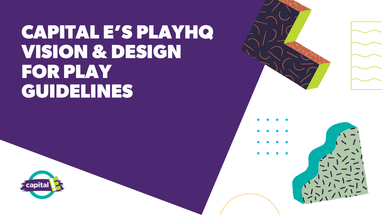# CAPITAL E'S PLAYHQ VISION & DESIGN FOR PLAY GUIDELINES